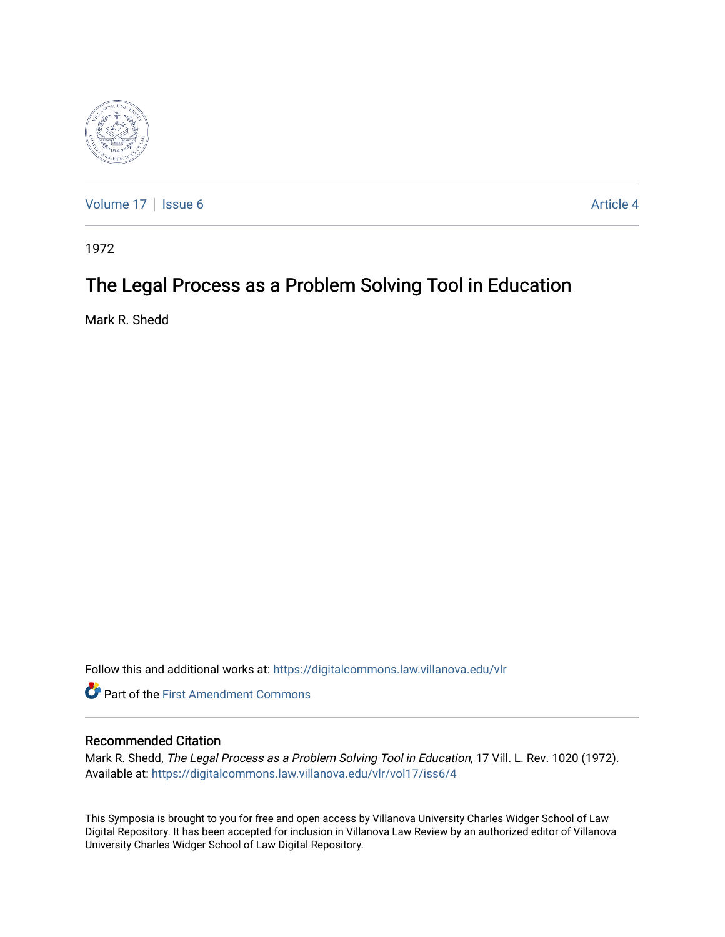

[Volume 17](https://digitalcommons.law.villanova.edu/vlr/vol17) | [Issue 6](https://digitalcommons.law.villanova.edu/vlr/vol17/iss6) Article 4

1972

# The Legal Process as a Problem Solving Tool in Education

Mark R. Shedd

Follow this and additional works at: [https://digitalcommons.law.villanova.edu/vlr](https://digitalcommons.law.villanova.edu/vlr?utm_source=digitalcommons.law.villanova.edu%2Fvlr%2Fvol17%2Fiss6%2F4&utm_medium=PDF&utm_campaign=PDFCoverPages)

**Part of the First Amendment Commons** 

## Recommended Citation

Mark R. Shedd, The Legal Process as a Problem Solving Tool in Education, 17 Vill. L. Rev. 1020 (1972). Available at: [https://digitalcommons.law.villanova.edu/vlr/vol17/iss6/4](https://digitalcommons.law.villanova.edu/vlr/vol17/iss6/4?utm_source=digitalcommons.law.villanova.edu%2Fvlr%2Fvol17%2Fiss6%2F4&utm_medium=PDF&utm_campaign=PDFCoverPages) 

This Symposia is brought to you for free and open access by Villanova University Charles Widger School of Law Digital Repository. It has been accepted for inclusion in Villanova Law Review by an authorized editor of Villanova University Charles Widger School of Law Digital Repository.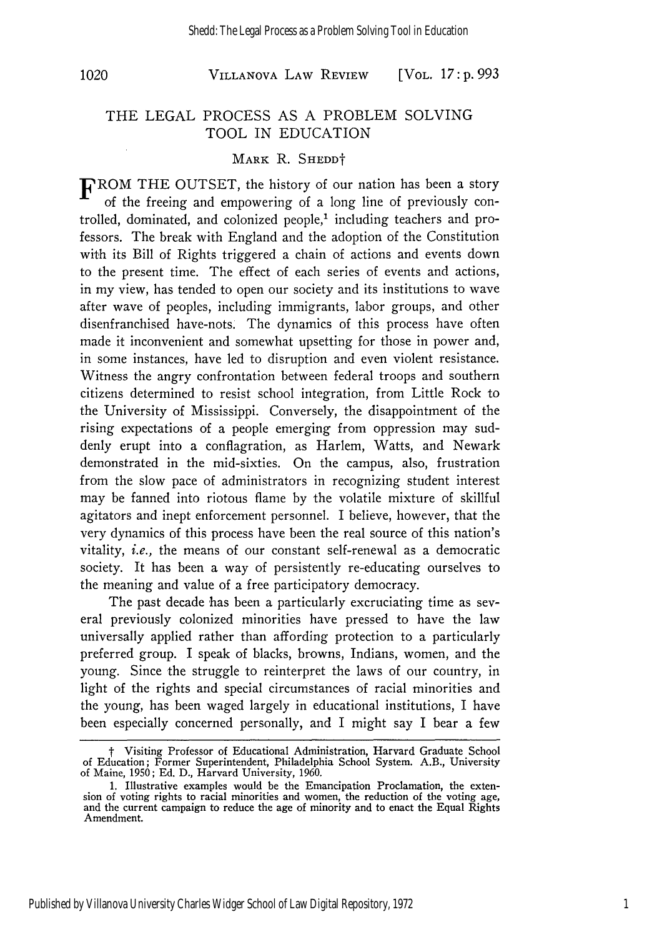VILLANOVA LAW REVIEW *1020* [VOL. **17: p. 993**

## THE LEGAL PROCESS AS A PROBLEM SOLVING TOOL IN EDUCATION

#### MARK R. SHEDD<sup>+</sup>

FROM THE OUTSET, the history of our nation has been a story of the freeing and empowering of a long line of previously controlled, dominated, and colonized people,<sup>1</sup> including teachers and professors. The break with England and the adoption of the Constitution with its Bill of Rights triggered a chain of actions and events down to the present time. The effect of each series of events and actions, in my view, has tended to open our society and its institutions to wave after wave of peoples, including immigrants, labor groups, and other disenfranchised have-nots. The dynamics of this process have often made it inconvenient and somewhat upsetting for those in power and, in some instances, have led to disruption and even violent resistance. Witness the angry confrontation between federal troops and southern citizens determined to resist school integration, from Little Rock to the University of Mississippi. Conversely, the disappointment of the rising expectations of a people emerging from oppression may suddenly erupt into a conflagration, as Harlem, Watts, and Newark demonstrated in the mid-sixties. On the campus, also, frustration from the slow pace of administrators in recognizing student interest may be fanned into riotous flame by the volatile mixture of skillful agitators and inept enforcement personnel. I believe, however, that the very dynamics of this process have been the real source of this nation's vitality, *i.e.,* the means of our constant self-renewal as a democratic society. It has been a way of persistently re-educating ourselves to the meaning and value of a free participatory democracy.

The past decade has been a particularly excruciating time as several previously colonized minorities have pressed to have the law universally applied rather than affording protection to a particularly preferred group. I speak of blacks, browns, Indians, women, and the young. Since the struggle to reinterpret the laws of our country, in light of the rights and special circumstances of racial minorities and the young, has been waged largely in educational institutions, I have been especially concerned personally, and I might say I bear a few

t Visiting Professor of Educational Administration, Harvard Graduate School of Education; Former Superintendent, Philadelphia School System. A.B., University<br>of Maine, 1950; Ed. D., Harvard University, 1960.

<sup>1.</sup> Illustrative examples would be the Emancipation Proclamation, the extension of voting rights to racial minorities and women, the reduction of the voting age, and the current campaign to reduce the age of minority and to enact the Equal Rights Amendment.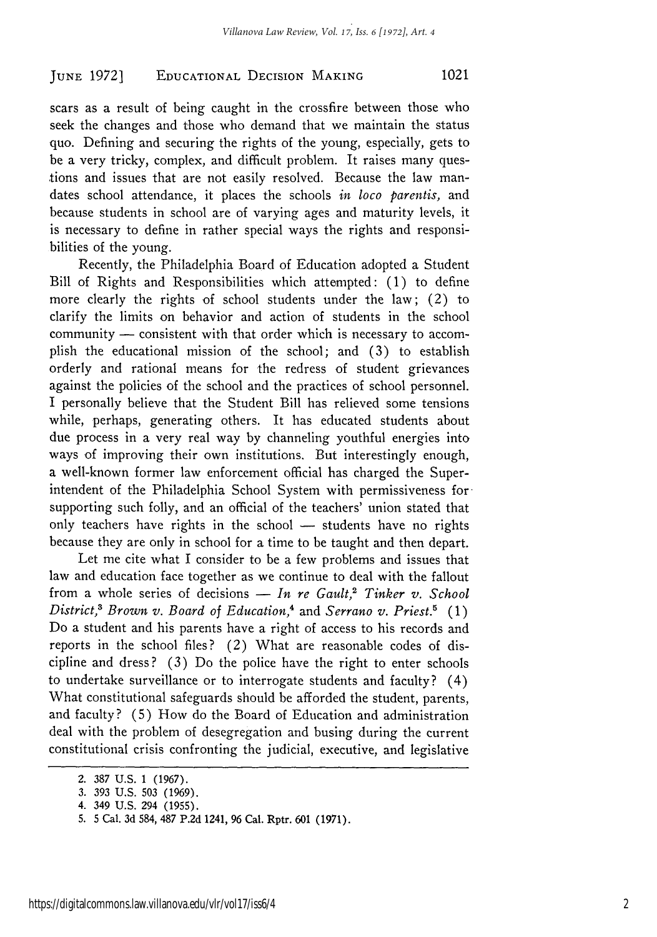## **EDUCATIONAL** DECISION **MAKING** *JUNE* **19721** 1021

scars as a result of being caught in the crossfire between those who seek the changes and those who demand that we maintain the status quo. Defining and securing the rights of the young, especially, gets to be a very tricky, complex, and difficult problem. It raises many questions and issues that are not easily resolved. Because the law mandates school attendance, it places the schools *in loco parentis,* and because students in school are of varying ages and maturity levels, it is necessary to define in rather special ways the rights and responsibilities of the young.

Recently, the Philadelphia Board of Education adopted a Student Bill of Rights and Responsibilities which attempted: (1) to define more clearly the rights of school students under the law; (2) to clarify the limits on behavior and action of students in the school community - consistent with that order which is necessary to accomplish the educational mission of the school; and (3) to establish orderly and rational means for the redress of student grievances against the policies of the school and the practices of school personnel. I personally believe that the Student Bill has relieved some tensions while, perhaps, generating others. It has educated students about due process in a very real way by channeling youthful energies into ways of improving their own institutions. But interestingly enough, a well-known former law enforcement official has charged the Superintendent of the Philadelphia School System with permissiveness forsupporting such folly, and an official of the teachers' union stated that only teachers have rights in the school - students have no rights because they are only in school for a time to be taught and then depart.

Let me cite what I consider to be a few problems and issues that law and education face together as we continue to deal with the fallout from a whole series of decisions - In re Gault,<sup>2</sup> Tinker v. School *District,3 Brown v. Board of Education,4* and *Serrano v. Priest.5 (1)* Do a student and his parents have a right of access to his records and reports in the school files? (2) What are reasonable codes of discipline and dress? (3) Do the police have the right to enter schools to undertake surveillance or to interrogate students and faculty? (4) What constitutional safeguards should be afforded the student, parents, and faculty? (5) How do the Board of Education and administration deal with the problem of desegregation and busing during the current constitutional crisis confronting the judicial, executive, and legislative

<sup>2.</sup> **387 U.S. 1 (1967).**

<sup>3. 393</sup> U.S. 503 (1969).

<sup>4. 349</sup> U.S. 294 (1955).

<sup>5. 5</sup> Cal. 3d 584, 487 P.2d 1241, **96** Cal. Rptr. **601 (1971).**